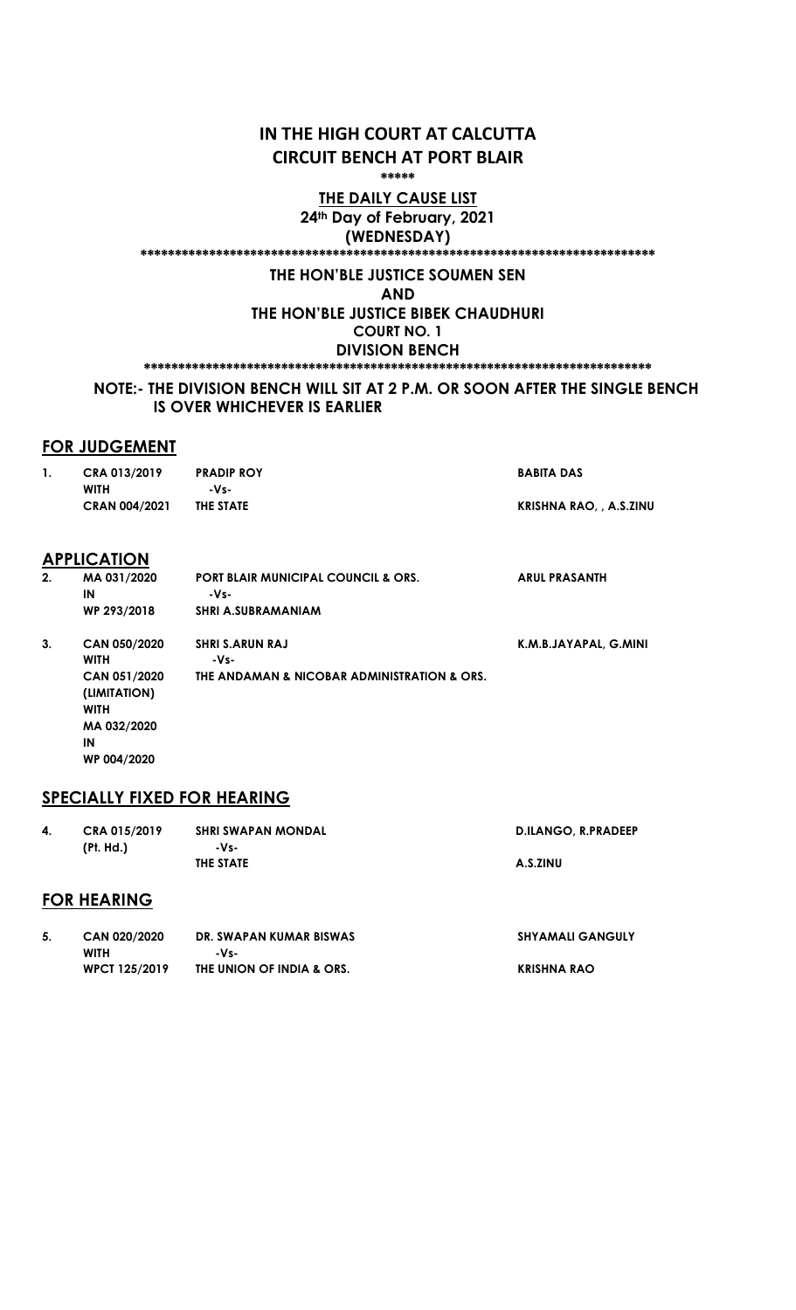## IN THE HIGH COURT AT CALCUTTA CIRCUIT BENCH AT PORT BLAIR

\*\*\*\*\*

### THE DAILY CAUSE LIST 24th Day of February, 2021 (WEDNESDAY)

#### \*\*\*\*\*\*\*\*\*\*\*\*\*\*\*\*\*\*\*\*\*\*\*\*\*\*\*\*\*\*\*\*\*\*\*\*\*\*\*\*\*\*\*\*\*\*\*\*\*\*\*\*\*\*\*\*\*\*\*\*\*\*\*\*\*\*\*\*\*\*\*\*\*\*\*

### THE HON'BLE JUSTICE SOUMEN SEN

AND

THE HON'BLE JUSTICE BIBEK CHAUDHURI COURT NO. 1 DIVISION BENCH

\*\*\*\*\*\*\*\*\*\*\*\*\*\*\*\*\*\*\*\*\*\*\*\*\*\*\*\*\*\*\*\*\*\*\*\*\*\*\*\*\*\*\*\*\*\*\*\*\*\*\*\*\*\*\*\*\*\*\*\*\*\*\*\*\*\*\*\*\*\*\*\*\*\*

### NOTE:- THE DIVISION BENCH WILL SIT AT 2 P.M. OR SOON AFTER THE SINGLE BENCH IS OVER WHICHEVER IS EARLIER

### FOR JUDGEMENT

| $\mathbf{1}$ . | CRA 013/2019<br><b>WITH</b>                 | <b>PRADIP ROY</b><br>-Vs-                              | <b>BABITA DAS</b>             |
|----------------|---------------------------------------------|--------------------------------------------------------|-------------------------------|
|                | <b>CRAN 004/2021</b>                        | THE STATE                                              | <b>KRISHNA RAO,, A.S.ZINU</b> |
|                | <b>APPLICATION</b>                          |                                                        |                               |
| 2.             | MA 031/2020<br>IN                           | <b>PORT BLAIR MUNICIPAL COUNCIL &amp; ORS.</b><br>-Vs- | <b>ARUL PRASANTH</b>          |
|                | WP 293/2018                                 | <b>SHRI A.SUBRAMANIAM</b>                              |                               |
| 3.             | CAN 050/2020<br><b>WITH</b>                 | <b>SHRI S.ARUN RAJ</b><br>-Vs-                         | K.M.B.JAYAPAL, G.MINI         |
|                | CAN 051/2020<br>(LIMITATION)<br><b>WITH</b> | THE ANDAMAN & NICOBAR ADMINISTRATION & ORS.            |                               |

### SPECIALLY FIXED FOR HEARING

MA 032/2020

WP 004/2020

IN

| 4. | CRA 015/2019       | <b>SHRI SWAPAN MONDAL</b> | <b>D.ILANGO, R.PRADEEP</b> |
|----|--------------------|---------------------------|----------------------------|
|    | (Pt. Hd.)          | -Vs-                      |                            |
|    |                    | THE STATE                 | A.S.ZINU                   |
|    | <b>FOR HEARING</b> |                           |                            |

| CAN 020/2020         | DR. SWAPAN KUMAR BISWAS   | <b>SHYAMALI GANGULY</b> |
|----------------------|---------------------------|-------------------------|
| <b>WITH</b>          | -Vs-                      |                         |
| <b>WPCT 125/2019</b> | THE UNION OF INDIA & ORS. | KRISHNA RAO             |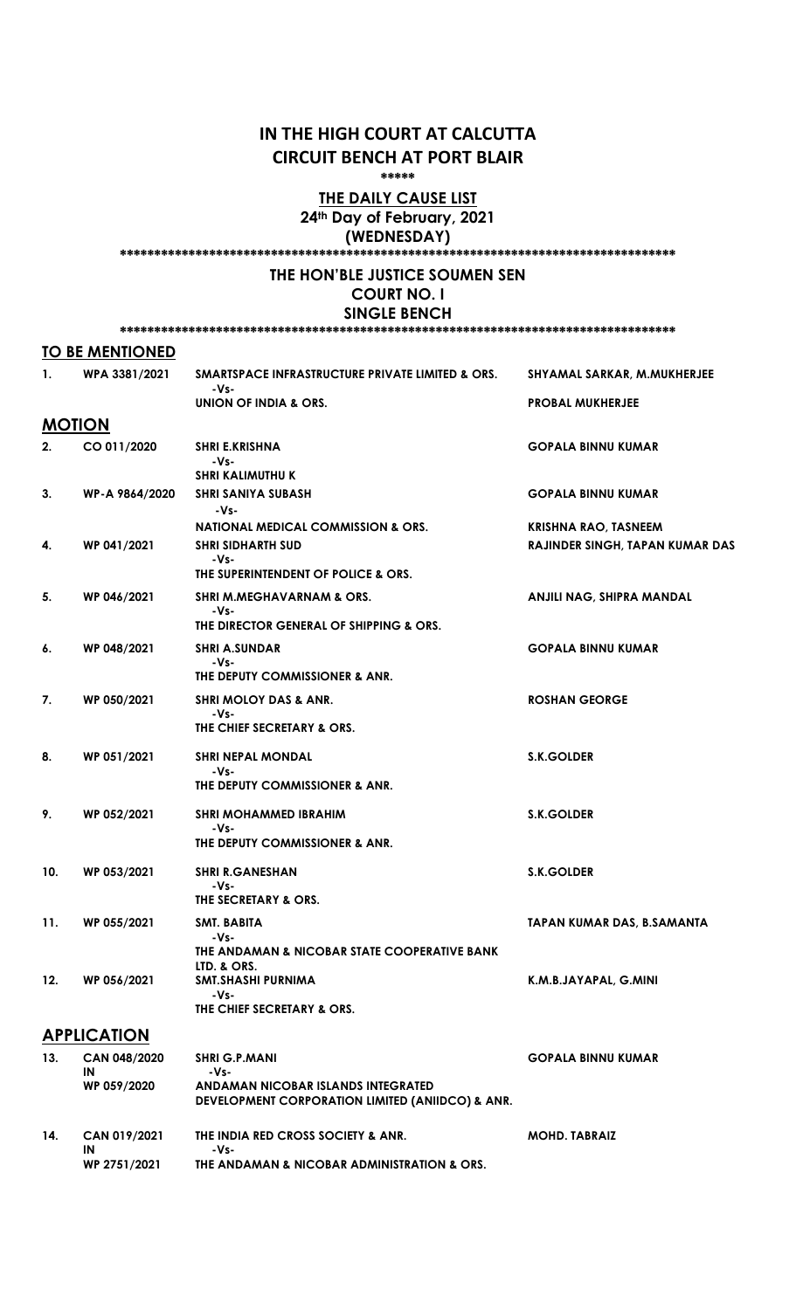## IN THE HIGH COURT AT CALCUTTA CIRCUIT BENCH AT PORT BLAIR

\*\*\*\*\*

### THE DAILY CAUSE LIST 24th Day of February, 2021

(WEDNESDAY) \*\*\*\*\*\*\*\*\*\*\*\*\*\*\*\*\*\*\*\*\*\*\*\*\*\*\*\*\*\*\*\*\*\*\*\*\*\*\*\*\*\*\*\*\*\*\*\*\*\*\*\*\*\*\*\*\*\*\*\*\*\*\*\*\*\*\*\*\*\*\*\*\*\*\*\*\*\*\*\*\*

### THE HON'BLE JUSTICE SOUMEN SEN COURT NO. I

#### SINGLE BENCH \*\*\*\*\*\*\*\*\*\*\*\*\*\*\*\*\*\*\*\*\*\*\*\*\*\*\*\*\*\*\*\*\*\*\*\*\*\*\*\*\*\*\*\*\*\*\*\*\*\*\*\*\*\*\*\*\*\*\*\*\*\*\*\*\*\*\*\*\*\*\*\*\*\*\*\*\*\*\*\*\*

### TO BE MENTIONED

| 1.  | WPA 3381/2021                     | SMARTSPACE INFRASTRUCTURE PRIVATE LIMITED & ORS.                                                                        | SHYAMAL SARKAR, M.MUKHERJEE            |
|-----|-----------------------------------|-------------------------------------------------------------------------------------------------------------------------|----------------------------------------|
|     |                                   | -Vs-<br>UNION OF INDIA & ORS.                                                                                           | <b>PROBAL MUKHERJEE</b>                |
|     | <b>MOTION</b>                     |                                                                                                                         |                                        |
| 2.  | CO 011/2020                       | SHRI E.KRISHNA<br>-Vs-                                                                                                  | <b>GOPALA BINNU KUMAR</b>              |
| 3.  | WP-A 9864/2020                    | <b>SHRI KALIMUTHU K</b><br><b>SHRI SANIYA SUBASH</b><br>-Vs-                                                            | <b>GOPALA BINNU KUMAR</b>              |
|     |                                   | <b>NATIONAL MEDICAL COMMISSION &amp; ORS.</b>                                                                           | <b>KRISHNA RAO, TASNEEM</b>            |
| 4.  | WP 041/2021                       | <b>SHRI SIDHARTH SUD</b><br>-Vs-<br>THE SUPERINTENDENT OF POLICE & ORS.                                                 | <b>RAJINDER SINGH, TAPAN KUMAR DAS</b> |
| 5.  | WP 046/2021                       | <b>SHRI M.MEGHAVARNAM &amp; ORS.</b><br>-Vs-<br>THE DIRECTOR GENERAL OF SHIPPING & ORS.                                 | ANJILI NAG, SHIPRA MANDAL              |
| 6.  | WP 048/2021                       | <b>SHRI A.SUNDAR</b><br>-Vs-<br>THE DEPUTY COMMISSIONER & ANR.                                                          | <b>GOPALA BINNU KUMAR</b>              |
| 7.  | WP 050/2021                       | <b>SHRI MOLOY DAS &amp; ANR.</b><br>-Vs-<br>THE CHIEF SECRETARY & ORS.                                                  | <b>ROSHAN GEORGE</b>                   |
| 8.  | WP 051/2021                       | <b>SHRI NEPAL MONDAL</b><br>-Vs-<br>THE DEPUTY COMMISSIONER & ANR.                                                      | <b>S.K.GOLDER</b>                      |
| 9.  | WP 052/2021                       | <b>SHRI MOHAMMED IBRAHIM</b><br>-Vs-<br>THE DEPUTY COMMISSIONER & ANR.                                                  | <b>S.K.GOLDER</b>                      |
| 10. | WP 053/2021                       | <b>SHRI R.GANESHAN</b><br>-Vs-<br>THE SECRETARY & ORS.                                                                  | <b>S.K.GOLDER</b>                      |
| 11. | WP 055/2021                       | <b>SMT. BABITA</b><br>-Vs-                                                                                              | TAPAN KUMAR DAS, B.SAMANTA             |
| 12. | WP 056/2021                       | THE ANDAMAN & NICOBAR STATE COOPERATIVE BANK<br>LTD. & ORS.<br>SMT.SHASHI PURNIMA<br>-Vs-<br>THE CHIEF SECRETARY & ORS. | K.M.B.JAYAPAL, G.MINI                  |
|     | <b>APPLICATION</b>                |                                                                                                                         |                                        |
| 13. | CAN 048/2020<br>IN<br>WP 059/2020 | <b>SHRI G.P.MANI</b><br>-Vs-<br>ANDAMAN NICOBAR ISLANDS INTEGRATED                                                      | <b>GOPALA BINNU KUMAR</b>              |

|     | ш<br>WP 059/2020                   | - v >-<br>ANDAMAN NICOBAR ISLANDS INTEGRATED<br>DEVELOPMENT CORPORATION LIMITED (ANIIDCO) & ANR. |                      |  |
|-----|------------------------------------|--------------------------------------------------------------------------------------------------|----------------------|--|
| 14. | CAN 019/2021<br>IN<br>WP 2751/2021 | THE INDIA RED CROSS SOCIETY & ANR.<br>-Vs-<br>THE ANDAMAN & NICOBAR ADMINISTRATION & ORS.        | <b>MOHD. TABRAIZ</b> |  |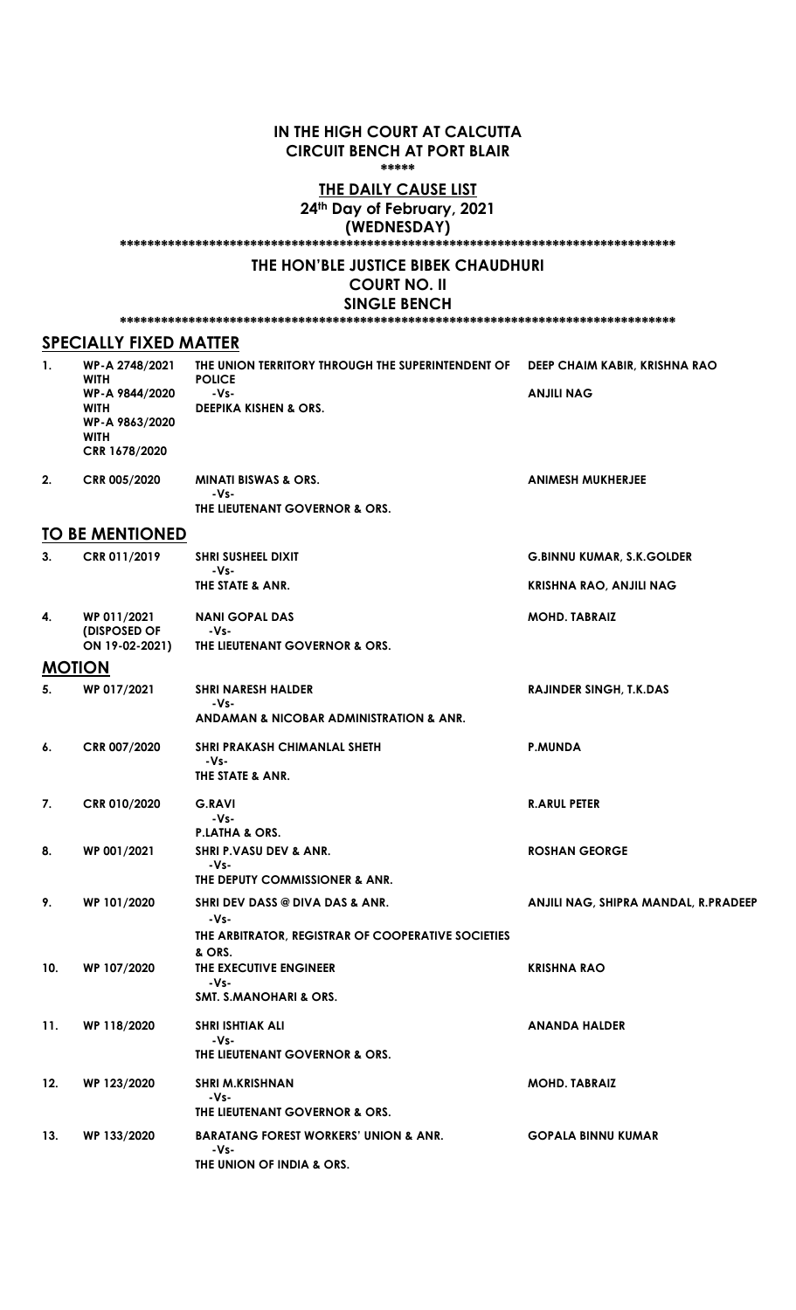#### IN THE HIGH COURT AT CALCUTTA CIRCUIT BENCH AT PORT BLAIR \*\*\*\*\*

### **THE DAILY CAUSE LIST** 24th Day of February, 2021 (WEDNESDAY)

\*\*\*\*\*\*\*\*\*\*\*\*\*\*\*\*\*\*\*\*\*\*\*\*\*\*\*\*\*\*\*\*\*\*\*\*\*\*\*\*\*\*\*\*\*\*\*\*\*\*\*\*\*\*\*\*\*\*\*\*\*\*\*\*\*\*\*\*\*\*\*\*\*\*\*\*\*\*\*\*\*

### THE HON'BLE JUSTICE BIBEK CHAUDHURI

## COURT NO. II

SINGLE BENCH \*\*\*\*\*\*\*\*\*\*\*\*\*\*\*\*\*\*\*\*\*\*\*\*\*\*\*\*\*\*\*\*\*\*\*\*\*\*\*\*\*\*\*\*\*\*\*\*\*\*\*\*\*\*\*\*\*\*\*\*\*\*\*\*\*\*\*\*\*\*\*\*\*\*\*\*\*\*\*\*\*

### SPECIALLY FIXED MATTER

| 1.  | WP-A 2748/2021<br><b>WITH</b><br>WP-A 9844/2020<br>WITH<br>WP-A 9863/2020<br>WITH<br>CRR 1678/2020 | THE UNION TERRITORY THROUGH THE SUPERINTENDENT OF<br><b>POLICE</b><br>$-Vs-$<br><b>DEEPIKA KISHEN &amp; ORS.</b> | DEEP CHAIM KABIR, KRISHNA RAO<br><b>ANJILI NAG</b> |
|-----|----------------------------------------------------------------------------------------------------|------------------------------------------------------------------------------------------------------------------|----------------------------------------------------|
| 2.  | CRR 005/2020                                                                                       | <b>MINATI BISWAS &amp; ORS.</b><br>-Vs-<br>THE LIEUTENANT GOVERNOR & ORS.                                        | <b>ANIMESH MUKHERJEE</b>                           |
|     | <b>TO BE MENTIONED</b>                                                                             |                                                                                                                  |                                                    |
| 3.  | CRR 011/2019                                                                                       | <b>SHRI SUSHEEL DIXIT</b>                                                                                        | <b>G.BINNU KUMAR, S.K.GOLDER</b>                   |
|     |                                                                                                    | $-Vs-$<br>THE STATE & ANR.                                                                                       | <b>KRISHNA RAO, ANJILI NAG</b>                     |
| 4.  | WP 011/2021<br>(DISPOSED OF<br>ON 19-02-2021)                                                      | <b>NANI GOPAL DAS</b><br>-Vs-<br>THE LIEUTENANT GOVERNOR & ORS.                                                  | <b>MOHD. TABRAIZ</b>                               |
|     | <b>MOTION</b>                                                                                      |                                                                                                                  |                                                    |
| 5.  | WP 017/2021                                                                                        | <b>SHRI NARESH HALDER</b><br>-Vs-<br>ANDAMAN & NICOBAR ADMINISTRATION & ANR.                                     | <b>RAJINDER SINGH, T.K.DAS</b>                     |
| 6.  | CRR 007/2020                                                                                       | <b>SHRI PRAKASH CHIMANLAL SHETH</b><br>-Vs-<br>THE STATE & ANR.                                                  | <b>P.MUNDA</b>                                     |
| 7.  | CRR 010/2020                                                                                       | <b>G.RAVI</b><br>$-Vs-$<br>P.LATHA & ORS.                                                                        | <b>R.ARUL PETER</b>                                |
| 8.  | WP 001/2021                                                                                        | <b>SHRI P.VASU DEV &amp; ANR.</b><br>-Vs-<br>THE DEPUTY COMMISSIONER & ANR.                                      | <b>ROSHAN GEORGE</b>                               |
| 9.  | WP 101/2020                                                                                        | SHRI DEV DASS @ DIVA DAS & ANR.<br>-Vs-<br>THE ARBITRATOR, REGISTRAR OF COOPERATIVE SOCIETIES                    | ANJILI NAG, SHIPRA MANDAL, R.PRADEEP               |
| 10. | WP 107/2020                                                                                        | & ORS.<br>THE EXECUTIVE ENGINEER<br>-Vs-<br><b>SMT. S.MANOHARI &amp; ORS.</b>                                    | <b>KRISHNA RAO</b>                                 |
| 11. | WP 118/2020                                                                                        | <b>SHRI ISHTIAK ALI</b><br>-Vs-<br>THE LIEUTENANT GOVERNOR & ORS.                                                | <b>ANANDA HALDER</b>                               |
| 12. | WP 123/2020                                                                                        | <b>SHRI M.KRISHNAN</b><br>-Vs-<br>THE LIEUTENANT GOVERNOR & ORS.                                                 | <b>MOHD. TABRAIZ</b>                               |
| 13. | WP 133/2020                                                                                        | <b>BARATANG FOREST WORKERS' UNION &amp; ANR.</b><br>-Vs-<br>THE UNION OF INDIA & ORS.                            | <b>GOPALA BINNU KUMAR</b>                          |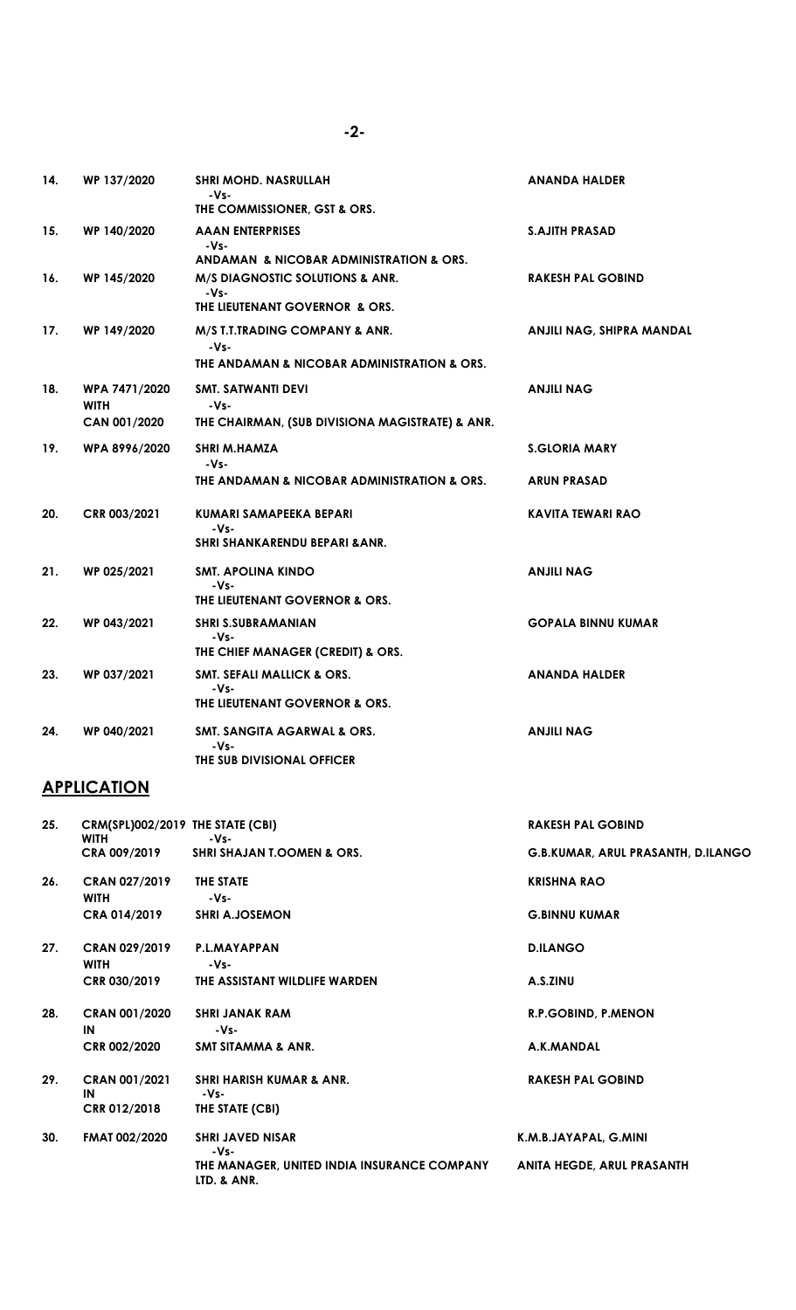| 14. | WP 137/2020                                  | SHRI MOHD. NASRULLAH<br>-Vs-<br>THE COMMISSIONER, GST & ORS.                            | <b>ANANDA HALDER</b>                       |
|-----|----------------------------------------------|-----------------------------------------------------------------------------------------|--------------------------------------------|
| 15. | WP 140/2020                                  | AAAN ENTERPRISES<br>-Vs-<br>ANDAMAN & NICOBAR ADMINISTRATION & ORS.                     | <b>S.AJITH PRASAD</b>                      |
| 16. | WP 145/2020                                  | <b>M/S DIAGNOSTIC SOLUTIONS &amp; ANR.</b><br>-Vs-<br>THE LIEUTENANT GOVERNOR & ORS.    | <b>RAKESH PAL GOBIND</b>                   |
| 17. | WP 149/2020                                  | M/S T.T.TRADING COMPANY & ANR.<br>$-Vs-$<br>THE ANDAMAN & NICOBAR ADMINISTRATION & ORS. | ANJILI NAG, SHIPRA MANDAL                  |
| 18. | WPA 7471/2020<br><b>WITH</b><br>CAN 001/2020 | SMT. SATWANTI DEVI<br>-Vs-<br>THE CHAIRMAN, (SUB DIVISIONA MAGISTRATE) & ANR.           | ANJILI NAG                                 |
| 19. | WPA 8996/2020                                | <b>SHRI M.HAMZA</b><br>-Vs-<br>THE ANDAMAN & NICOBAR ADMINISTRATION & ORS.              | <b>S.GLORIA MARY</b><br><b>ARUN PRASAD</b> |
| 20. | CRR 003/2021                                 | KUMARI SAMAPEEKA BEPARI<br>-Vs-<br>SHRI SHANKARENDU BEPARI & ANR.                       | <b>KAVITA TEWARI RAO</b>                   |
| 21. | WP 025/2021                                  | <b>SMT. APOLINA KINDO</b><br>-Vs-<br>THE LIEUTENANT GOVERNOR & ORS.                     | <b>ANJILI NAG</b>                          |
| 22. | WP 043/2021                                  | SHRI S.SUBRAMANIAN<br>-Vs-<br>THE CHIEF MANAGER (CREDIT) & ORS.                         | <b>GOPALA BINNU KUMAR</b>                  |
| 23. | WP 037/2021                                  | <b>SMT. SEFALI MALLICK &amp; ORS.</b><br>-Vs-<br>THE LIEUTENANT GOVERNOR & ORS.         | <b>ANANDA HALDER</b>                       |
| 24. | WP 040/2021                                  | SMT. SANGITA AGARWAL & ORS.<br>-Vs-<br>THE SUB DIVISIONAL OFFICER                       | ANJILI NAG                                 |

# **APPLICATION**

| 25. | CRM(SPL)002/2019 THE STATE (CBI)<br><b>WITH</b> | $-Vs-$                                                     | <b>RAKESH PAL GOBIND</b>           |
|-----|-------------------------------------------------|------------------------------------------------------------|------------------------------------|
|     | CRA 009/2019                                    | <b>SHRI SHAJAN T.OOMEN &amp; ORS.</b>                      | G.B.KUMAR, ARUL PRASANTH, D.ILANGO |
| 26. | <b>CRAN 027/2019</b><br><b>WITH</b>             | THE STATE<br>-Vs-                                          | <b>KRISHNA RAO</b>                 |
|     | <b>CRA 014/2019</b>                             | <b>SHRI A.JOSEMON</b>                                      | <b>G.BINNU KUMAR</b>               |
| 27. | <b>CRAN 029/2019</b><br><b>WITH</b>             | P.L.MAYAPPAN<br>-Vs-                                       | <b>D.ILANGO</b>                    |
|     | <b>CRR 030/2019</b>                             | THE ASSISTANT WILDLIFE WARDEN                              | A.S.ZINU                           |
| 28. | <b>CRAN 001/2020</b><br>IN                      | <b>SHRI JANAK RAM</b><br>$-Vs-$                            | R.P.GOBIND, P.MENON                |
|     | <b>CRR 002/2020</b>                             | SMT SITAMMA & ANR.                                         | A.K.MANDAL                         |
| 29. | <b>CRAN 001/2021</b><br>IN                      | <b>SHRI HARISH KUMAR &amp; ANR.</b><br>-Vs-                | <b>RAKESH PAL GOBIND</b>           |
|     | <b>CRR 012/2018</b>                             | THE STATE (CBI)                                            |                                    |
| 30. | <b>FMAT 002/2020</b>                            | <b>SHRI JAVED NISAR</b><br>-Vs-                            | K.M.B.JAYAPAL, G.MINI              |
|     |                                                 | THE MANAGER, UNITED INDIA INSURANCE COMPANY<br>LTD. & ANR. | <b>ANITA HEGDE, ARUL PRASANTH</b>  |